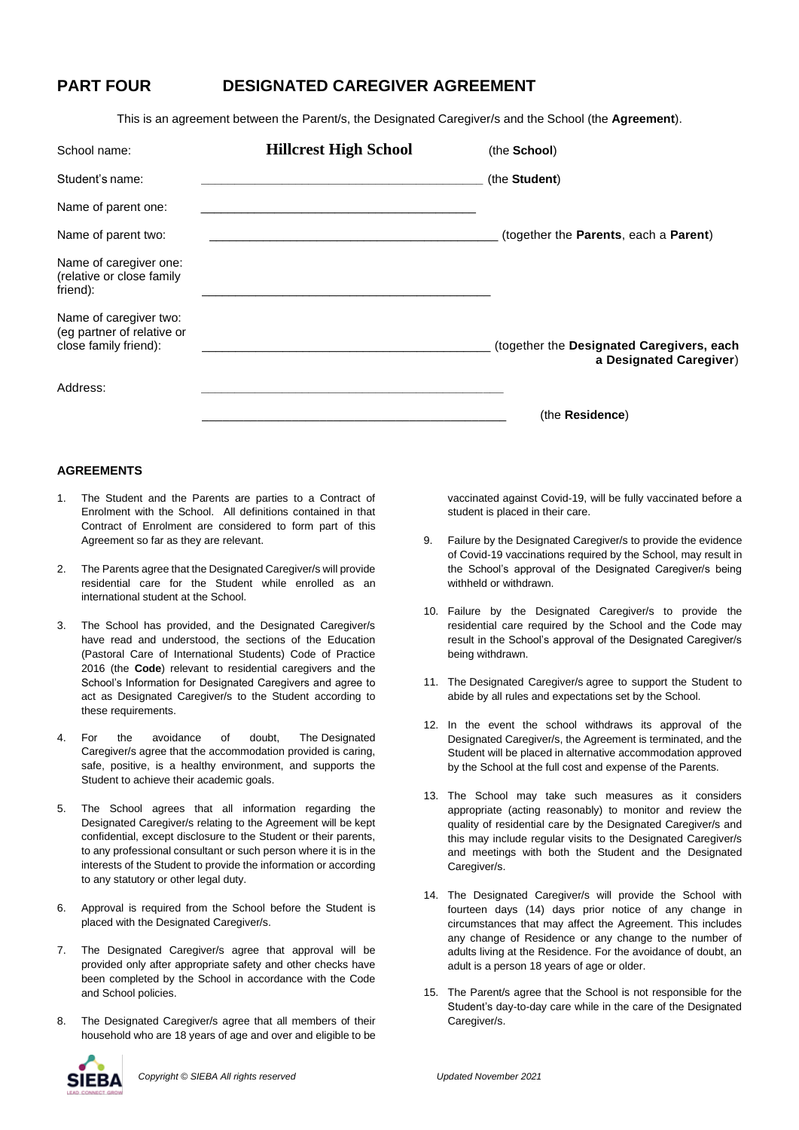# **PART FOUR DESIGNATED CAREGIVER AGREEMENT**

This is an agreement between the Parent/s, the Designated Caregiver/s and the School (the **Agreement**).

| School name:                                                                  | <b>Hillcrest High School</b> | (the School)                                                         |
|-------------------------------------------------------------------------------|------------------------------|----------------------------------------------------------------------|
| Student's name:                                                               |                              | (the Student)                                                        |
| Name of parent one:                                                           |                              |                                                                      |
| Name of parent two:                                                           |                              | (together the Parents, each a Parent)                                |
| Name of caregiver one:<br>(relative or close family<br>friend):               |                              |                                                                      |
| Name of caregiver two:<br>(eg partner of relative or<br>close family friend): |                              | (together the Designated Caregivers, each<br>a Designated Caregiver) |
| Address:                                                                      |                              |                                                                      |
|                                                                               |                              | (the Residence)                                                      |

#### **AGREEMENTS**

- 1. The Student and the Parents are parties to a Contract of Enrolment with the School. All definitions contained in that Contract of Enrolment are considered to form part of this Agreement so far as they are relevant.
- 2. The Parents agree that the Designated Caregiver/s will provide residential care for the Student while enrolled as an international student at the School.
- 3. The School has provided, and the Designated Caregiver/s have read and understood, the sections of the Education (Pastoral Care of International Students) Code of Practice 2016 (the **Code**) relevant to residential caregivers and the School's Information for Designated Caregivers and agree to act as Designated Caregiver/s to the Student according to these requirements.
- 4. For the avoidance of doubt, The Designated Caregiver/s agree that the accommodation provided is caring, safe, positive, is a healthy environment, and supports the Student to achieve their academic goals.
- 5. The School agrees that all information regarding the Designated Caregiver/s relating to the Agreement will be kept confidential, except disclosure to the Student or their parents, to any professional consultant or such person where it is in the interests of the Student to provide the information or according to any statutory or other legal duty.
- 6. Approval is required from the School before the Student is placed with the Designated Caregiver/s.
- 7. The Designated Caregiver/s agree that approval will be provided only after appropriate safety and other checks have been completed by the School in accordance with the Code and School policies.
- 8. The Designated Caregiver/s agree that all members of their household who are 18 years of age and over and eligible to be

vaccinated against Covid-19, will be fully vaccinated before a student is placed in their care.

- 9. Failure by the Designated Caregiver/s to provide the evidence of Covid-19 vaccinations required by the School, may result in the School's approval of the Designated Caregiver/s being withheld or withdrawn.
- 10. Failure by the Designated Caregiver/s to provide the residential care required by the School and the Code may result in the School's approval of the Designated Caregiver/s being withdrawn.
- 11. The Designated Caregiver/s agree to support the Student to abide by all rules and expectations set by the School.
- 12. In the event the school withdraws its approval of the Designated Caregiver/s, the Agreement is terminated, and the Student will be placed in alternative accommodation approved by the School at the full cost and expense of the Parents.
- 13. The School may take such measures as it considers appropriate (acting reasonably) to monitor and review the quality of residential care by the Designated Caregiver/s and this may include regular visits to the Designated Caregiver/s and meetings with both the Student and the Designated Caregiver/s.
- 14. The Designated Caregiver/s will provide the School with fourteen days (14) days prior notice of any change in circumstances that may affect the Agreement. This includes any change of Residence or any change to the number of adults living at the Residence. For the avoidance of doubt, an adult is a person 18 years of age or older.
- 15. The Parent/s agree that the School is not responsible for the Student's day-to-day care while in the care of the Designated Caregiver/s.